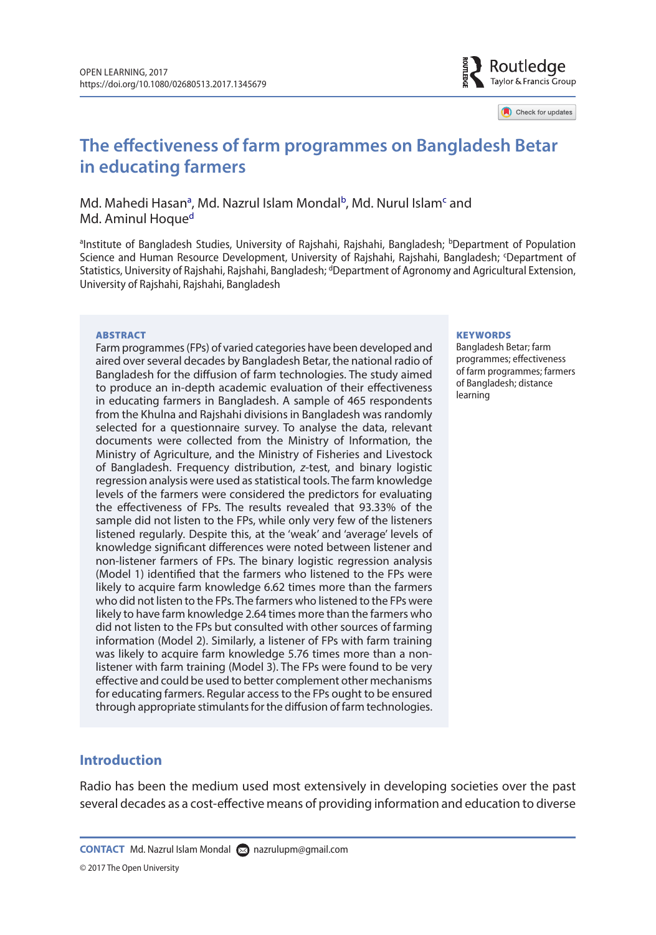

Check for updates

# **The effectiveness of farm programmes on Bangladesh Betar in educating farmers**

#### Md. M[a](#page-0-0)hedi Hasan<sup>a</sup>, Md. Nazrul Islam Mondal<sup>b</sup>, Md. Nurul Islam<sup>[c](#page-0-2)</sup> and Md. Aminul Hoque<sup>d</sup>

<span id="page-0-3"></span><span id="page-0-2"></span><span id="page-0-1"></span><span id="page-0-0"></span>aInstitute of Bangladesh Studies, University of Rajshahi, Rajshahi, Bangladesh; bDepartment of Population Science and Human Resource Development, University of Rajshahi, Rajshahi, Bangladesh; 'Department of Statistics, University of Rajshahi, Rajshahi, Bangladesh; <sup>d</sup>Department of Agronomy and Agricultural Extension, University of Rajshahi, Rajshahi, Bangladesh

#### **ARSTRACT**

Farm programmes (FPs) of varied categories have been developed and aired over several decades by Bangladesh Betar, the national radio of Bangladesh for the diffusion of farm technologies. The study aimed to produce an in-depth academic evaluation of their effectiveness in educating farmers in Bangladesh. A sample of 465 respondents from the Khulna and Rajshahi divisions in Bangladesh was randomly selected for a questionnaire survey. To analyse the data, relevant documents were collected from the Ministry of Information, the Ministry of Agriculture, and the Ministry of Fisheries and Livestock of Bangladesh. Frequency distribution, *z*-test, and binary logistic regression analysis were used as statistical tools. The farm knowledge levels of the farmers were considered the predictors for evaluating the effectiveness of FPs. The results revealed that 93.33% of the sample did not listen to the FPs, while only very few of the listeners listened regularly. Despite this, at the 'weak' and 'average' levels of knowledge significant differences were noted between listener and non-listener farmers of FPs. The binary logistic regression analysis (Model 1) identified that the farmers who listened to the FPs were likely to acquire farm knowledge 6.62 times more than the farmers who did not listen to the FPs. The farmers who listened to the FPs were likely to have farm knowledge 2.64 times more than the farmers who did not listen to the FPs but consulted with other sources of farming information (Model 2). Similarly, a listener of FPs with farm training was likely to acquire farm knowledge 5.76 times more than a nonlistener with farm training (Model 3). The FPs were found to be very effective and could be used to better complement other mechanisms for educating farmers. Regular access to the FPs ought to be ensured through appropriate stimulants for the diffusion of farm technologies.

#### **KEYWORDS**

Bangladesh Betar; farm programmes; effectiveness of farm programmes; farmers of Bangladesh; distance learning

#### **Introduction**

Radio has been the medium used most extensively in developing societies over the past several decades as a cost-effective means of providing information and education to diverse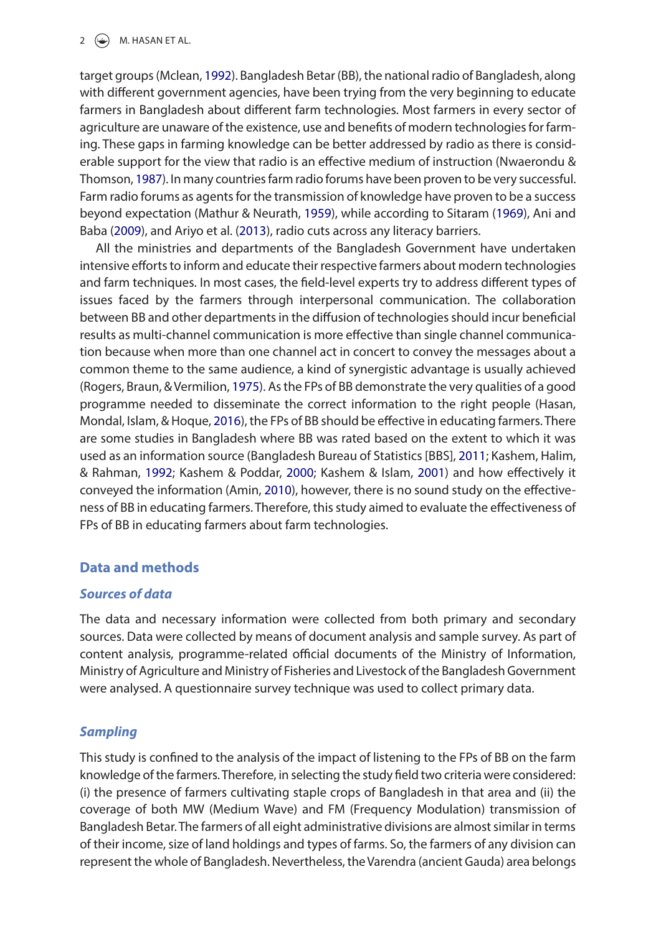#### 2  $\left(\frac{1}{2}\right)$  M. HASAN ET AL.

<span id="page-1-9"></span>target groups (Mclean, [1992](#page-9-0)). Bangladesh Betar (BB), the national radio of Bangladesh, along with different government agencies, have been trying from the very beginning to educate farmers in Bangladesh about different farm technologies. Most farmers in every sector of agriculture are unaware of the existence, use and benefits of modern technologies for farming. These gaps in farming knowledge can be better addressed by radio as there is considerable support for the view that radio is an effective medium of instruction (Nwaerondu & Thomson, [1987\)](#page-9-1). In many countries farm radio forums have been proven to be very successful. Farm radio forums as agents for the transmission of knowledge have proven to be a success beyond expectation (Mathur & Neurath, [1959](#page-9-2)), while according to Sitaram [\(1969\)](#page-9-3), Ani and Baba ([2009](#page-8-0)), and Ariyo et al. ([2013](#page-8-1)), radio cuts across any literacy barriers.

<span id="page-1-12"></span><span id="page-1-11"></span><span id="page-1-10"></span><span id="page-1-8"></span><span id="page-1-2"></span><span id="page-1-1"></span>All the ministries and departments of the Bangladesh Government have undertaken intensive efforts to inform and educate their respective farmers about modern technologies and farm techniques. In most cases, the field-level experts try to address different types of issues faced by the farmers through interpersonal communication. The collaboration between BB and other departments in the diffusion of technologies should incur beneficial results as multi-channel communication is more effective than single channel communication because when more than one channel act in concert to convey the messages about a common theme to the same audience, a kind of synergistic advantage is usually achieved (Rogers, Braun, & Vermilion, [1975](#page-9-4)). As the FPs of BB demonstrate the very qualities of a good programme needed to disseminate the correct information to the right people (Hasan, Mondal, Islam, & Hoque, [2016](#page-8-2)), the FPs of BB should be effective in educating farmers. There are some studies in Bangladesh where BB was rated based on the extent to which it was used as an information source (Bangladesh Bureau of Statistics [BBS], [2011;](#page-8-3) Kashem, Halim, & Rahman, [1992;](#page-8-4) Kashem & Poddar, [2000;](#page-8-5) Kashem & Islam, [2001\)](#page-8-6) and how effectively it conveyed the information (Amin, [2010](#page-8-7)), however, there is no sound study on the effectiveness of BB in educating farmers. Therefore, this study aimed to evaluate the effectiveness of FPs of BB in educating farmers about farm technologies.

### <span id="page-1-7"></span><span id="page-1-6"></span><span id="page-1-5"></span><span id="page-1-4"></span><span id="page-1-3"></span><span id="page-1-0"></span>**Data and methods**

### *Sources of data*

The data and necessary information were collected from both primary and secondary sources. Data were collected by means of document analysis and sample survey. As part of content analysis, programme-related official documents of the Ministry of Information, Ministry of Agriculture and Ministry of Fisheries and Livestock of the Bangladesh Government were analysed. A questionnaire survey technique was used to collect primary data.

### *Sampling*

This study is confined to the analysis of the impact of listening to the FPs of BB on the farm knowledge of the farmers. Therefore, in selecting the study field two criteria were considered: (i) the presence of farmers cultivating staple crops of Bangladesh in that area and (ii) the coverage of both MW (Medium Wave) and FM (Frequency Modulation) transmission of Bangladesh Betar. The farmers of all eight administrative divisions are almost similar in terms of their income, size of land holdings and types of farms. So, the farmers of any division can represent the whole of Bangladesh. Nevertheless, the Varendra (ancient Gauda) area belongs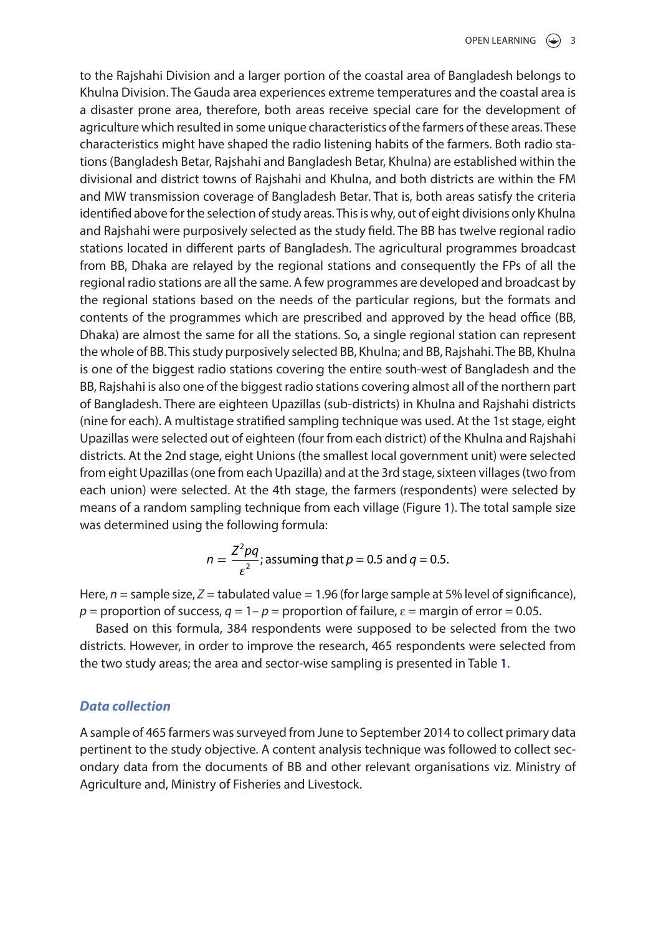to the Rajshahi Division and a larger portion of the coastal area of Bangladesh belongs to Khulna Division. The Gauda area experiences extreme temperatures and the coastal area is a disaster prone area, therefore, both areas receive special care for the development of agriculture which resulted in some unique characteristics of the farmers of these areas. These characteristics might have shaped the radio listening habits of the farmers. Both radio stations (Bangladesh Betar, Rajshahi and Bangladesh Betar, Khulna) are established within the divisional and district towns of Rajshahi and Khulna, and both districts are within the FM and MW transmission coverage of Bangladesh Betar. That is, both areas satisfy the criteria identified above for the selection of study areas. This is why, out of eight divisions only Khulna and Rajshahi were purposively selected as the study field. The BB has twelve regional radio stations located in different parts of Bangladesh. The agricultural programmes broadcast from BB, Dhaka are relayed by the regional stations and consequently the FPs of all the regional radio stations are all the same. A few programmes are developed and broadcast by the regional stations based on the needs of the particular regions, but the formats and contents of the programmes which are prescribed and approved by the head office (BB, Dhaka) are almost the same for all the stations. So, a single regional station can represent the whole of BB. This study purposively selected BB, Khulna; and BB, Rajshahi. The BB, Khulna is one of the biggest radio stations covering the entire south-west of Bangladesh and the BB, Rajshahi is also one of the biggest radio stations covering almost all of the northern part of Bangladesh. There are eighteen Upazillas (sub-districts) in Khulna and Rajshahi districts (nine for each). A multistage stratified sampling technique was used. At the 1st stage, eight Upazillas were selected out of eighteen (four from each district) of the Khulna and Rajshahi districts. At the 2nd stage, eight Unions (the smallest local government unit) were selected from eight Upazillas (one from each Upazilla) and at the 3rd stage, sixteen villages (two from each union) were selected. At the 4th stage, the farmers (respondents) were selected by means of a random sampling technique from each village (Figure [1](#page-3-0)). The total sample size was determined using the following formula:

$$
n = \frac{Z^2pq}{\varepsilon^2}
$$
; assuming that  $p = 0.5$  and  $q = 0.5$ .

Here, *n* = sample size, *Z* = tabulated value = 1.96 (for large sample at 5% level of significance),  $p =$  proportion of success,  $q = 1 - p =$  proportion of failure,  $\varepsilon =$  margin of error = 0.05.

Based on this formula, 384 respondents were supposed to be selected from the two districts. However, in order to improve the research, 465 respondents were selected from the two study areas; the area and sector-wise sampling is presented in Table [1.](#page-3-1)

#### *Data collection*

A sample of 465 farmers was surveyed from June to September 2014 to collect primary data pertinent to the study objective. A content analysis technique was followed to collect secondary data from the documents of BB and other relevant organisations viz. Ministry of Agriculture and, Ministry of Fisheries and Livestock.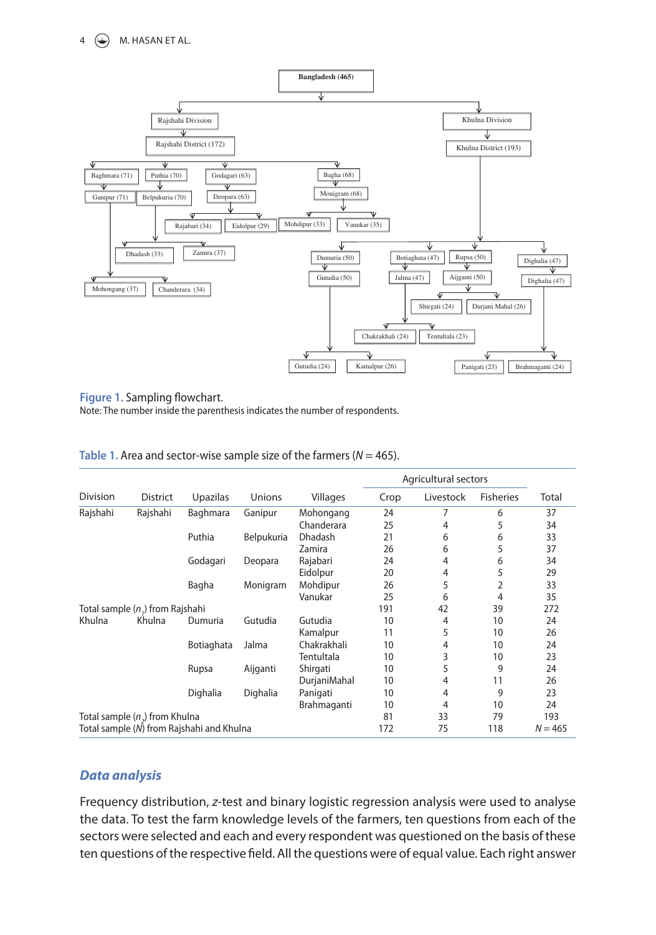

#### <span id="page-3-0"></span>**Figure 1.** Sampling flowchart.

Note: The number inside the parenthesis indicates the number of respondents.

<span id="page-3-1"></span>

| Table 1. Area and sector-wise sample size of the farmers ( $N = 465$ ). |  |
|-------------------------------------------------------------------------|--|
|-------------------------------------------------------------------------|--|

|                                           |                 |            |            |                | Agricultural sectors |           |                  |       |
|-------------------------------------------|-----------------|------------|------------|----------------|----------------------|-----------|------------------|-------|
| <b>Division</b>                           | <b>District</b> | Upazilas   | Unions     | Villages       | Crop                 | Livestock | <b>Fisheries</b> | Total |
| Rajshahi                                  | Rajshahi        | Baghmara   | Ganipur    | Mohongang      | 24                   | 7         | 6                | 37    |
|                                           |                 |            |            | Chanderara     | 25                   | 4         | 5                | 34    |
|                                           |                 | Puthia     | Belpukuria | <b>Dhadash</b> | 21                   | 6         | 6                | 33    |
|                                           |                 |            |            | Zamira         | 26                   | 6         | 5                | 37    |
|                                           |                 | Godagari   | Deopara    | Rajabari       | 24                   | 4         | 6                | 34    |
|                                           |                 |            |            | Eidolpur       | 20                   | 4         | 5                | 29    |
|                                           |                 | Bagha      | Monigram   | Mohdipur       | 26                   | 5         | 2                | 33    |
|                                           |                 |            |            | Vanukar        | 25                   | 6         | 4                | 35    |
| Total sample (n,) from Rajshahi           |                 |            |            | 191            | 42                   | 39        | 272              |       |
| Khulna                                    | Khulna          | Dumuria    | Gutudia    | Gutudia        | 10                   | 4         | 10               | 24    |
|                                           |                 |            |            | Kamalpur       | 11                   | 5         | 10               | 26    |
|                                           |                 | Botiaghata | Jalma      | Chakrakhali    | 10                   | 4         | 10               | 24    |
|                                           |                 |            |            | Tentultala     | 10                   | 3         | 10               | 23    |
|                                           |                 | Rupsa      | Aijganti   | Shirgati       | 10                   | 5         | 9                | 24    |
|                                           |                 |            |            | DurjaniMahal   | 10                   | 4         | 11               | 26    |
|                                           |                 | Dighalia   | Dighalia   | Panigati       | 10                   | 4         | 9                | 23    |
|                                           |                 |            |            | Brahmaganti    | 10                   | 4         | 10               | 24    |
| Total sample $(n_2)$ from Khulna          |                 |            | 81         | 33             | 79                   | 193       |                  |       |
| Total sample (N) from Rajshahi and Khulna |                 |            | 172        | 75             | 118                  | $N = 465$ |                  |       |

#### *Data analysis*

Frequency distribution, *z*-test and binary logistic regression analysis were used to analyse the data. To test the farm knowledge levels of the farmers, ten questions from each of the sectors were selected and each and every respondent was questioned on the basis of these ten questions of the respective field. All the questions were of equal value. Each right answer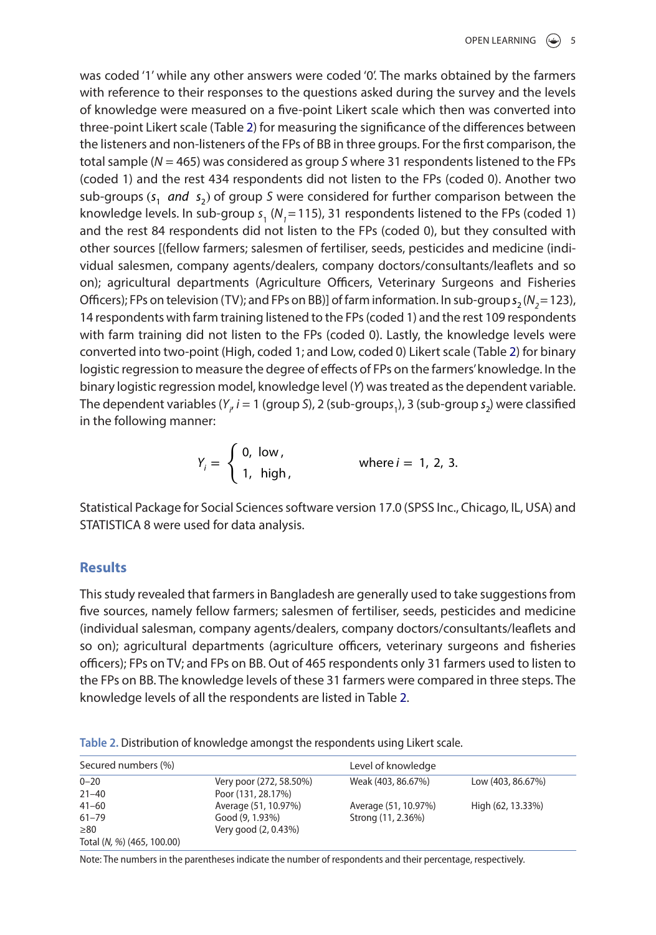was coded '1' while any other answers were coded '0'. The marks obtained by the farmers with reference to their responses to the questions asked during the survey and the levels of knowledge were measured on a five-point Likert scale which then was converted into three-point Likert scale (Table [2\)](#page-4-0) for measuring the significance of the differences between the listeners and non-listeners of the FPs of BB in three groups. For the first comparison, the total sample (*N* = 465) was considered as group *S* where 31 respondents listened to the FPs (coded 1) and the rest 434 respondents did not listen to the FPs (coded 0). Another two sub-groups (s<sub>1</sub> and s<sub>2</sub>) of group S were considered for further comparison between the knowledge levels. In sub-group  $s_1$  ( $N_1$ =115), 31 respondents listened to the FPs (coded 1) and the rest 84 respondents did not listen to the FPs (coded 0), but they consulted with other sources [(fellow farmers; salesmen of fertiliser, seeds, pesticides and medicine (individual salesmen, company agents/dealers, company doctors/consultants/leaflets and so on); agricultural departments (Agriculture Officers, Veterinary Surgeons and Fisheries Officers); FPs on television (TV); and FPs on BB)] of farm information. In sub-group  $s_2(N_2=123)$ , 14 respondents with farm training listened to the FPs (coded 1) and the rest 109 respondents with farm training did not listen to the FPs (coded 0). Lastly, the knowledge levels were converted into two-point (High, coded 1; and Low, coded 0) Likert scale (Table [2](#page-4-0)) for binary logistic regression to measure the degree of effects of FPs on the farmers' knowledge. In the binary logistic regression model, knowledge level (*Y*) was treated as the dependent variable. The dependent variables (Y<sub>i</sub>, i = 1 (group S), 2 (sub-groups<sub>1</sub>), 3 (sub-group s<sub>2</sub>) were classified in the following manner:

$$
Y_i = \begin{cases} 0, & \text{low,} \\ 1, & \text{high,} \end{cases}
$$
 where  $i = 1, 2, 3$ .

Statistical Package for Social Sciences software version 17.0 (SPSS Inc., Chicago, IL, USA) and STATISTICA 8 were used for data analysis.

#### **Results**

This study revealed that farmers in Bangladesh are generally used to take suggestions from five sources, namely fellow farmers; salesmen of fertiliser, seeds, pesticides and medicine (individual salesman, company agents/dealers, company doctors/consultants/leaflets and so on); agricultural departments (agriculture officers, veterinary surgeons and fisheries officers); FPs on TV; and FPs on BB. Out of 465 respondents only 31 farmers used to listen to the FPs on BB. The knowledge levels of these 31 farmers were compared in three steps. The knowledge levels of all the respondents are listed in Table [2.](#page-4-0)

| Secured numbers (%)        |                         | Level of knowledge   |                   |
|----------------------------|-------------------------|----------------------|-------------------|
| $0 - 20$                   | Very poor (272, 58.50%) | Weak (403, 86.67%)   | Low (403, 86.67%) |
| $21 - 40$                  | Poor (131, 28.17%)      |                      |                   |
| $41 - 60$                  | Average (51, 10.97%)    | Average (51, 10.97%) | High (62, 13.33%) |
| $61 - 79$                  | Good (9, 1.93%)         | Strong (11, 2.36%)   |                   |
| $\geq 80$                  | Very good (2, 0.43%)    |                      |                   |
| Total (N, %) (465, 100.00) |                         |                      |                   |

<span id="page-4-0"></span>**Table 2.** Distribution of knowledge amongst the respondents using Likert scale.

Note: The numbers in the parentheses indicate the number of respondents and their percentage, respectively.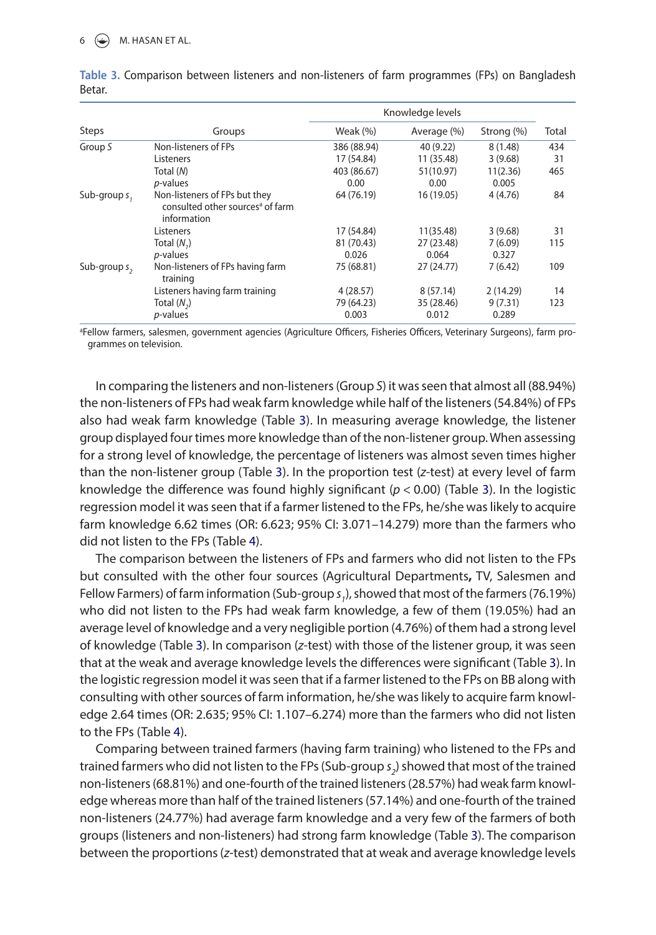#### $6 \quad \circled{4}$  M. HASAN ET AL.

|                 |                                                                                              | Knowledge levels |             |            |       |  |
|-----------------|----------------------------------------------------------------------------------------------|------------------|-------------|------------|-------|--|
| <b>Steps</b>    | Groups                                                                                       | Weak $(\%)$      | Average (%) | Strong (%) | Total |  |
| Group S         | Non-listeners of FPs                                                                         | 386 (88.94)      | 40 (9.22)   | 8(1.48)    | 434   |  |
|                 | Listeners                                                                                    | 17 (54.84)       | 11 (35.48)  | 3(9.68)    | 31    |  |
|                 | Total (N)                                                                                    | 403 (86.67)      | 51(10.97)   | 11(2.36)   | 465   |  |
|                 | <i>p</i> -values                                                                             | 0.00             | 0.00        | 0.005      |       |  |
| Sub-group s,    | Non-listeners of FPs but they<br>consulted other sources <sup>a</sup> of farm<br>information | 64 (76.19)       | 16 (19.05)  | 4(4.76)    | 84    |  |
|                 | Listeners                                                                                    | 17 (54.84)       | 11(35.48)   | 3(9.68)    | 31    |  |
|                 | Total $(N, )$                                                                                | 81 (70.43)       | 27 (23.48)  | 7(6.09)    | 115   |  |
|                 | <i>p</i> -values                                                                             | 0.026            | 0.064       | 0.327      |       |  |
| Sub-group $s$ , | Non-listeners of FPs having farm<br>training                                                 | 75 (68.81)       | 27(24.77)   | 7(6.42)    | 109   |  |
|                 | Listeners having farm training                                                               | 4(28.57)         | 8(57.14)    | 2(14.29)   | 14    |  |
|                 | Total $(N_2)$                                                                                | 79 (64.23)       | 35 (28.46)  | 9(7.31)    | 123   |  |
|                 | $p$ -values                                                                                  | 0.003            | 0.012       | 0.289      |       |  |

<span id="page-5-0"></span>**Table 3.** Comparison between listeners and non-listeners of farm programmes (FPs) on Bangladesh Betar.

a Fellow farmers, salesmen, government agencies (Agriculture Officers, Fisheries Officers, Veterinary Surgeons), farm programmes on television.

In comparing the listeners and non-listeners (Group *S*) it was seen that almost all (88.94%) the non-listeners of FPs had weak farm knowledge while half of the listeners (54.84%) of FPs also had weak farm knowledge (Table [3](#page-5-0)). In measuring average knowledge, the listener group displayed four times more knowledge than of the non-listener group. When assessing for a strong level of knowledge, the percentage of listeners was almost seven times higher than the non-listener group (Table [3\)](#page-5-0). In the proportion test (*z*-test) at every level of farm knowledge the difference was found highly significant (*p* < 0.00) (Table [3\)](#page-5-0). In the logistic regression model it was seen that if a farmer listened to the FPs, he/she was likely to acquire farm knowledge 6.62 times (OR: 6.623; 95% CI: 3.071–14.279) more than the farmers who did not listen to the FPs (Table [4](#page-6-0)).

The comparison between the listeners of FPs and farmers who did not listen to the FPs but consulted with the other four sources (Agricultural Departments**,** TV, Salesmen and Fellow Farmers) of farm information (Sub-group *s<sub>1</sub>*), showed that most of the farmers (76.19%) who did not listen to the FPs had weak farm knowledge, a few of them (19.05%) had an average level of knowledge and a very negligible portion (4.76%) of them had a strong level of knowledge (Table [3\)](#page-5-0). In comparison (*z*-test) with those of the listener group, it was seen that at the weak and average knowledge levels the differences were significant (Table [3](#page-5-0)). In the logistic regression model it was seen that if a farmer listened to the FPs on BB along with consulting with other sources of farm information, he/she was likely to acquire farm knowledge 2.64 times (OR: 2.635; 95% CI: 1.107–6.274) more than the farmers who did not listen to the FPs (Table [4\)](#page-6-0).

Comparing between trained farmers (having farm training) who listened to the FPs and trained farmers who did not listen to the FPs (Sub-group *s<sub>2</sub>*) showed that most of the trained non-listeners (68.81%) and one-fourth of the trained listeners (28.57%) had weak farm knowledge whereas more than half of the trained listeners (57.14%) and one-fourth of the trained non-listeners (24.77%) had average farm knowledge and a very few of the farmers of both groups (listeners and non-listeners) had strong farm knowledge (Table [3\)](#page-5-0). The comparison between the proportions (*z*-test) demonstrated that at weak and average knowledge levels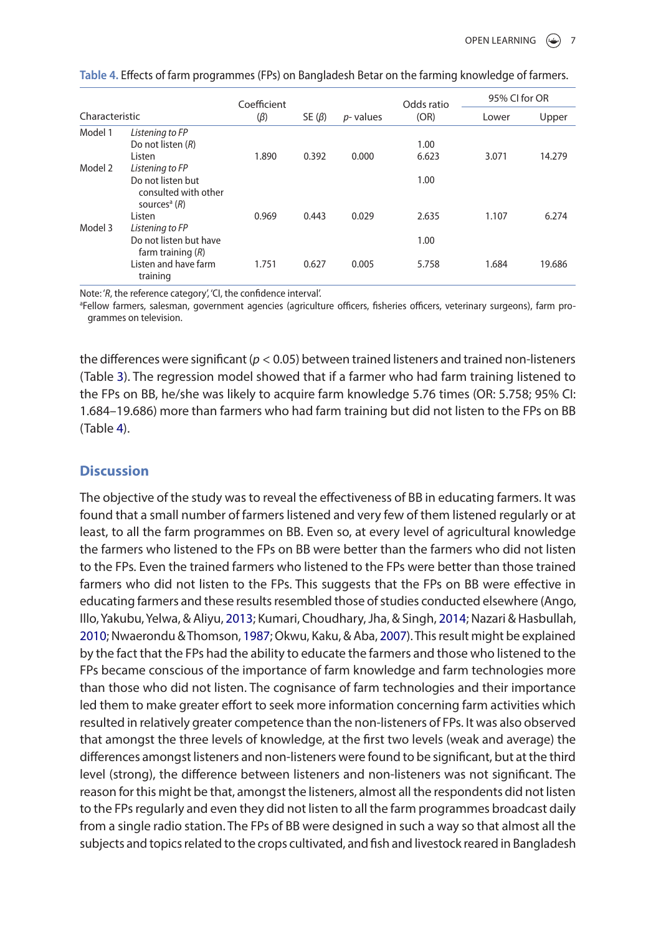|                |                                                                         | Coefficient |              |                  | Odds ratio | 95% CI for OR |        |
|----------------|-------------------------------------------------------------------------|-------------|--------------|------------------|------------|---------------|--------|
| Characteristic |                                                                         | $(\beta)$   | SE $(\beta)$ | <i>p</i> -values | (OR)       | Lower         | Upper  |
| Model 1        | Listening to FP                                                         |             |              |                  |            |               |        |
|                | Do not listen $(R)$                                                     |             |              |                  | 1.00       |               |        |
|                | Listen                                                                  | 1.890       | 0.392        | 0.000            | 6.623      | 3.071         | 14.279 |
| Model 2        | Listening to FP                                                         |             |              |                  |            |               |        |
|                | Do not listen but<br>consulted with other<br>sources <sup>a</sup> $(R)$ |             |              |                  | 1.00       |               |        |
|                | Listen                                                                  | 0.969       | 0.443        | 0.029            | 2.635      | 1.107         | 6.274  |
| Model 3        | Listening to FP                                                         |             |              |                  |            |               |        |
|                | Do not listen but have<br>farm training $(R)$                           |             |              |                  | 1.00       |               |        |
|                | Listen and have farm<br>training                                        | 1.751       | 0.627        | 0.005            | 5.758      | 1.684         | 19.686 |

<span id="page-6-0"></span>**Table 4.** Effects of farm programmes (FPs) on Bangladesh Betar on the farming knowledge of farmers.

Note: '*R*, the reference category', 'CI, the confidence interval'.

a Fellow farmers, salesman, government agencies (agriculture officers, fisheries officers, veterinary surgeons), farm programmes on television.

the differences were significant (*p* < 0.05) between trained listeners and trained non-listeners (Table [3](#page-5-0)). The regression model showed that if a farmer who had farm training listened to the FPs on BB, he/she was likely to acquire farm knowledge 5.76 times (OR: 5.758; 95% CI: 1.684–19.686) more than farmers who had farm training but did not listen to the FPs on BB (Table [4\)](#page-6-0).

#### **Discussion**

<span id="page-6-4"></span><span id="page-6-3"></span><span id="page-6-2"></span><span id="page-6-1"></span>The objective of the study was to reveal the effectiveness of BB in educating farmers. It was found that a small number of farmers listened and very few of them listened regularly or at least, to all the farm programmes on BB. Even so, at every level of agricultural knowledge the farmers who listened to the FPs on BB were better than the farmers who did not listen to the FPs. Even the trained farmers who listened to the FPs were better than those trained farmers who did not listen to the FPs. This suggests that the FPs on BB were effective in educating farmers and these results resembled those of studies conducted elsewhere (Ango, Illo, Yakubu, Yelwa, & Aliyu, [2013](#page-8-8); Kumari, Choudhary, Jha, & Singh, [2014;](#page-8-9) Nazari & Hasbullah, [2010](#page-9-5); Nwaerondu & Thomson, [1987](#page-9-1); Okwu, Kaku, & Aba, [2007\)](#page-9-6). This result might be explained by the fact that the FPs had the ability to educate the farmers and those who listened to the FPs became conscious of the importance of farm knowledge and farm technologies more than those who did not listen. The cognisance of farm technologies and their importance led them to make greater effort to seek more information concerning farm activities which resulted in relatively greater competence than the non-listeners of FPs. It was also observed that amongst the three levels of knowledge, at the first two levels (weak and average) the differences amongst listeners and non-listeners were found to be significant, but at the third level (strong), the difference between listeners and non-listeners was not significant. The reason for this might be that, amongst the listeners, almost all the respondents did not listen to the FPs regularly and even they did not listen to all the farm programmes broadcast daily from a single radio station. The FPs of BB were designed in such a way so that almost all the subjects and topics related to the crops cultivated, and fish and livestock reared in Bangladesh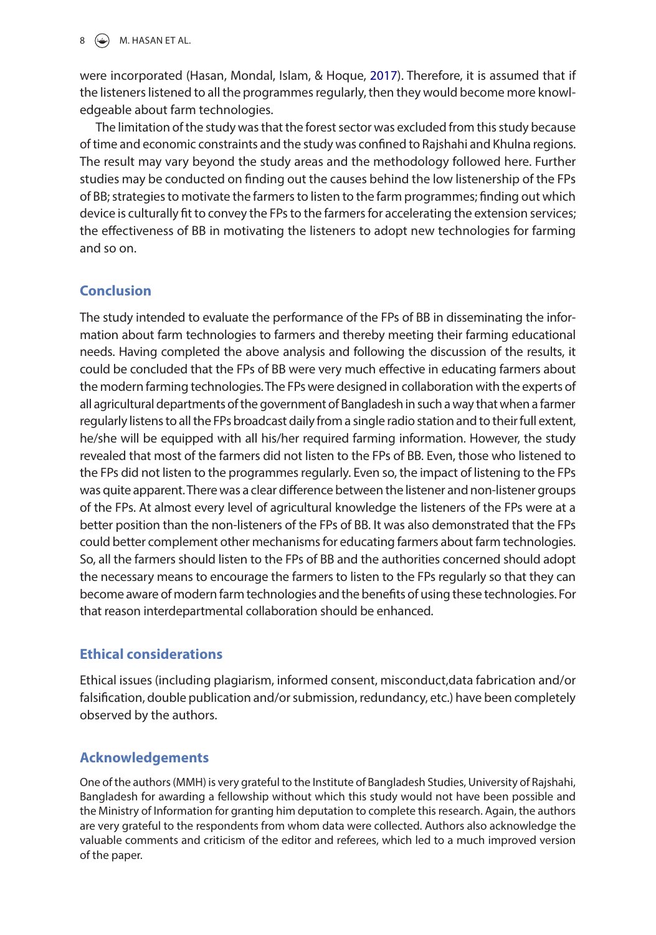<span id="page-7-0"></span>were incorporated (Hasan, Mondal, Islam, & Hoque, [2017\)](#page-8-10). Therefore, it is assumed that if the listeners listened to all the programmes regularly, then they would become more knowledgeable about farm technologies.

The limitation of the study was that the forest sector was excluded from this study because of time and economic constraints and the study was confined to Rajshahi and Khulna regions. The result may vary beyond the study areas and the methodology followed here. Further studies may be conducted on finding out the causes behind the low listenership of the FPs of BB; strategies to motivate the farmers to listen to the farm programmes; finding out which device is culturally fit to convey the FPs to the farmers for accelerating the extension services; the effectiveness of BB in motivating the listeners to adopt new technologies for farming and so on.

# **Conclusion**

The study intended to evaluate the performance of the FPs of BB in disseminating the information about farm technologies to farmers and thereby meeting their farming educational needs. Having completed the above analysis and following the discussion of the results, it could be concluded that the FPs of BB were very much effective in educating farmers about the modern farming technologies. The FPs were designed in collaboration with the experts of all agricultural departments of the government of Bangladesh in such a way that when a farmer regularly listens to all the FPs broadcast daily from a single radio station and to their full extent, he/she will be equipped with all his/her required farming information. However, the study revealed that most of the farmers did not listen to the FPs of BB. Even, those who listened to the FPs did not listen to the programmes regularly. Even so, the impact of listening to the FPs was quite apparent. There was a clear difference between the listener and non-listener groups of the FPs. At almost every level of agricultural knowledge the listeners of the FPs were at a better position than the non-listeners of the FPs of BB. It was also demonstrated that the FPs could better complement other mechanisms for educating farmers about farm technologies. So, all the farmers should listen to the FPs of BB and the authorities concerned should adopt the necessary means to encourage the farmers to listen to the FPs regularly so that they can become aware of modern farm technologies and the benefits of using these technologies. For that reason interdepartmental collaboration should be enhanced.

# **Ethical considerations**

Ethical issues (including plagiarism, informed consent, misconduct,data fabrication and/or falsification, double publication and/or submission, redundancy, etc.) have been completely observed by the authors.

# **Acknowledgements**

One of the authors (MMH) is very grateful to the Institute of Bangladesh Studies, University of Rajshahi, Bangladesh for awarding a fellowship without which this study would not have been possible and the Ministry of Information for granting him deputation to complete this research. Again, the authors are very grateful to the respondents from whom data were collected. Authors also acknowledge the valuable comments and criticism of the editor and referees, which led to a much improved version of the paper.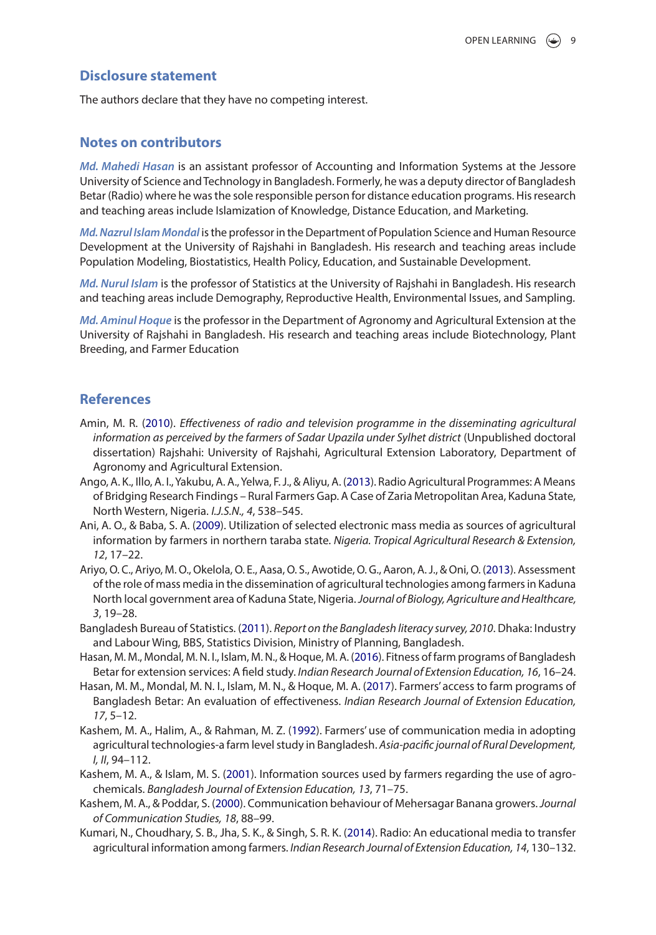#### **Disclosure statement**

The authors declare that they have no competing interest.

#### **Notes on contributors**

*Md. Mahedi Hasan* is an assistant professor of Accounting and Information Systems at the Jessore University of Science and Technology in Bangladesh. Formerly, he was a deputy director of Bangladesh Betar (Radio) where he was the sole responsible person for distance education programs. His research and teaching areas include Islamization of Knowledge, Distance Education, and Marketing.

*Md. Nazrul Islam Mondal* is the professor in the Department of Population Science and Human Resource Development at the University of Rajshahi in Bangladesh. His research and teaching areas include Population Modeling, Biostatistics, Health Policy, Education, and Sustainable Development.

*Md. Nurul Islam* is the professor of Statistics at the University of Rajshahi in Bangladesh. His research and teaching areas include Demography, Reproductive Health, Environmental Issues, and Sampling.

*Md. Aminul Hoque* is the professor in the Department of Agronomy and Agricultural Extension at the University of Rajshahi in Bangladesh. His research and teaching areas include Biotechnology, Plant Breeding, and Farmer Education

#### **References**

- <span id="page-8-7"></span>Amin, M. R. [\(2010\)](#page-1-0). *Effectiveness of radio and television programme in the disseminating agricultural information as perceived by the farmers of Sadar Upazila under Sylhet district* (Unpublished doctoral dissertation) Rajshahi: University of Rajshahi, Agricultural Extension Laboratory, Department of Agronomy and Agricultural Extension.
- <span id="page-8-8"></span>Ango, A. K., Illo, A. I., Yakubu, A. A., Yelwa, F. J., & Aliyu, A. ([2013\)](#page-6-1). Radio Agricultural Programmes: A Means of Bridging Research Findings – Rural Farmers Gap. A Case of Zaria Metropolitan Area, Kaduna State, North Western, Nigeria. *I.J.S.N., 4*, 538–545.
- <span id="page-8-0"></span>Ani, A. O., & Baba, S. A. [\(2009\)](#page-1-1). Utilization of selected electronic mass media as sources of agricultural information by farmers in northern taraba state. *Nigeria. Tropical Agricultural Research & Extension, 12*, 17–22.
- <span id="page-8-1"></span>Ariyo, O. C., Ariyo, M. O., Okelola, O. E., Aasa, O. S., Awotide, O. G., Aaron, A. J., & Oni, O. ([2013\)](#page-1-2). Assessment of the role of mass media in the dissemination of agricultural technologies among farmers in Kaduna North local government area of Kaduna State, Nigeria. *Journal of Biology, Agriculture and Healthcare, 3*, 19–28.
- <span id="page-8-3"></span>Bangladesh Bureau of Statistics. ([2011](#page-1-3)). *Report on the Bangladesh literacy survey, 2010*. Dhaka: Industry and Labour Wing, BBS, Statistics Division, Ministry of Planning, Bangladesh.
- <span id="page-8-2"></span>Hasan, M. M., Mondal, M. N. I., Islam, M. N., & Hoque, M. A. ([2016\)](#page-1-4). Fitness of farm programs of Bangladesh Betar for extension services: A field study. *Indian Research Journal of Extension Education, 16*, 16–24.
- <span id="page-8-10"></span>Hasan, M. M., Mondal, M. N. I., Islam, M. N., & Hoque, M. A. ([2017](#page-7-0)). Farmers' access to farm programs of Bangladesh Betar: An evaluation of effectiveness. *Indian Research Journal of Extension Education, 17*, 5–12.
- <span id="page-8-4"></span>Kashem, M. A., Halim, A., & Rahman, M. Z. [\(1992\)](#page-1-5). Farmers' use of communication media in adopting agricultural technologies-a farm level study in Bangladesh. *Asia-pacific journal of Rural Development, I, II*, 94–112.
- <span id="page-8-6"></span>Kashem, M. A., & Islam, M. S. [\(2001\)](#page-1-6). Information sources used by farmers regarding the use of agrochemicals. *Bangladesh Journal of Extension Education, 13*, 71–75.
- <span id="page-8-5"></span>Kashem, M. A., & Poddar, S. ([2000](#page-1-7)). Communication behaviour of Mehersagar Banana growers. *Journal of Communication Studies, 18*, 88–99.
- <span id="page-8-9"></span>Kumari, N., Choudhary, S. B., Jha, S. K., & Singh, S. R. K. [\(2014\)](#page-6-2). Radio: An educational media to transfer agricultural information among farmers. *Indian Research Journal of Extension Education, 14*, 130–132.